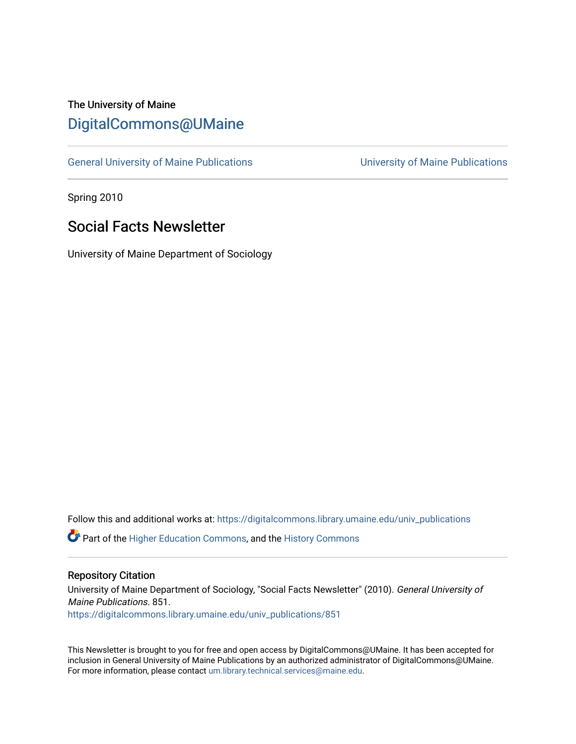# The University of Maine [DigitalCommons@UMaine](https://digitalcommons.library.umaine.edu/)

[General University of Maine Publications](https://digitalcommons.library.umaine.edu/univ_publications) [University of Maine Publications](https://digitalcommons.library.umaine.edu/umaine_publications) 

Spring 2010

# Social Facts Newsletter

University of Maine Department of Sociology

Follow this and additional works at: [https://digitalcommons.library.umaine.edu/univ\\_publications](https://digitalcommons.library.umaine.edu/univ_publications?utm_source=digitalcommons.library.umaine.edu%2Funiv_publications%2F851&utm_medium=PDF&utm_campaign=PDFCoverPages) 

**C** Part of the [Higher Education Commons,](http://network.bepress.com/hgg/discipline/1245?utm_source=digitalcommons.library.umaine.edu%2Funiv_publications%2F851&utm_medium=PDF&utm_campaign=PDFCoverPages) and the [History Commons](http://network.bepress.com/hgg/discipline/489?utm_source=digitalcommons.library.umaine.edu%2Funiv_publications%2F851&utm_medium=PDF&utm_campaign=PDFCoverPages)

#### Repository Citation

University of Maine Department of Sociology, "Social Facts Newsletter" (2010). General University of Maine Publications. 851. [https://digitalcommons.library.umaine.edu/univ\\_publications/851](https://digitalcommons.library.umaine.edu/univ_publications/851?utm_source=digitalcommons.library.umaine.edu%2Funiv_publications%2F851&utm_medium=PDF&utm_campaign=PDFCoverPages) 

This Newsletter is brought to you for free and open access by DigitalCommons@UMaine. It has been accepted for inclusion in General University of Maine Publications by an authorized administrator of DigitalCommons@UMaine. For more information, please contact [um.library.technical.services@maine.edu](mailto:um.library.technical.services@maine.edu).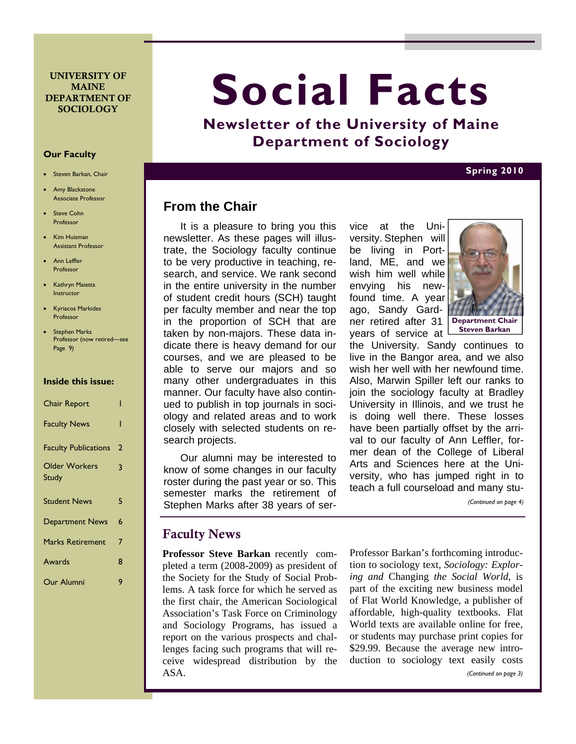#### UNIVERSITY OF **MAINE** DEPARTMENT OF **SOCIOLOGY**

#### **Our Faculty**

- Steven Barkan, Chair
- Amy Blackstone Associate Professor
- Steve Cohn Professor
- Kim Huisman Assistant Professor
- Ann Leffler Professor
- Kathryn Maietta **Instructor**
- Kyriacos Markides Professor
- Stephen Marks Professor (now retired—see Page 9)

#### **Inside this issue:**

| <b>Chair Report</b>         |   |
|-----------------------------|---|
| <b>Faculty News</b>         | ı |
| <b>Faculty Publications</b> | 2 |
| <b>Older Workers</b>        | 3 |
| Study                       |   |
| <b>Student News</b>         | 5 |
| <b>Department News</b>      | 6 |
| <b>Marks Retirement</b>     | 7 |
| Awards                      | 8 |
| Our Alumni                  | q |

# **Social Facts**

**Newsletter of the University of Maine Department of Sociology** 

#### **Spring 2010**

# **From the Chair**

It is a pleasure to bring you this newsletter. As these pages will illustrate, the Sociology faculty continue to be very productive in teaching, research, and service. We rank second in the entire university in the number of student credit hours (SCH) taught per faculty member and near the top in the proportion of SCH that are taken by non-majors. These data indicate there is heavy demand for our courses, and we are pleased to be able to serve our majors and so many other undergraduates in this manner. Our faculty have also continued to publish in top journals in sociology and related areas and to work closely with selected students on research projects.

Our alumni may be interested to know of some changes in our faculty roster during the past year or so. This semester marks the retirement of Stephen Marks after 38 years of ser-

## Faculty News

**Professor Steve Barkan** recently completed a term (2008-2009) as president of the Society for the Study of Social Problems. A task force for which he served as the first chair, the American Sociological Association's Task Force on Criminology and Sociology Programs, has issued a report on the various prospects and challenges facing such programs that will receive widespread distribution by the ASA.

vice at the University. Stephen will be living in Portland, ME, and we wish him well while envying his newfound time. A year ago, Sandy Gardner retired after 31 years of service at



the University. Sandy continues to live in the Bangor area, and we also wish her well with her newfound time. Also, Marwin Spiller left our ranks to join the sociology faculty at Bradley University in Illinois, and we trust he is doing well there. These losses have been partially offset by the arrival to our faculty of Ann Leffler, former dean of the College of Liberal Arts and Sciences here at the University, who has jumped right in to teach a full courseload and many stu-

*(Continued on page 4)* 

Professor Barkan's forthcoming introduction to sociology text, *Sociology: Exploring and* Changing *the Social World*, is part of the exciting new business model of Flat World Knowledge, a publisher of affordable, high-quality textbooks. Flat World texts are available online for free, or students may purchase print copies for \$29.99. Because the average new introduction to sociology text easily costs *(Continued on page 3)*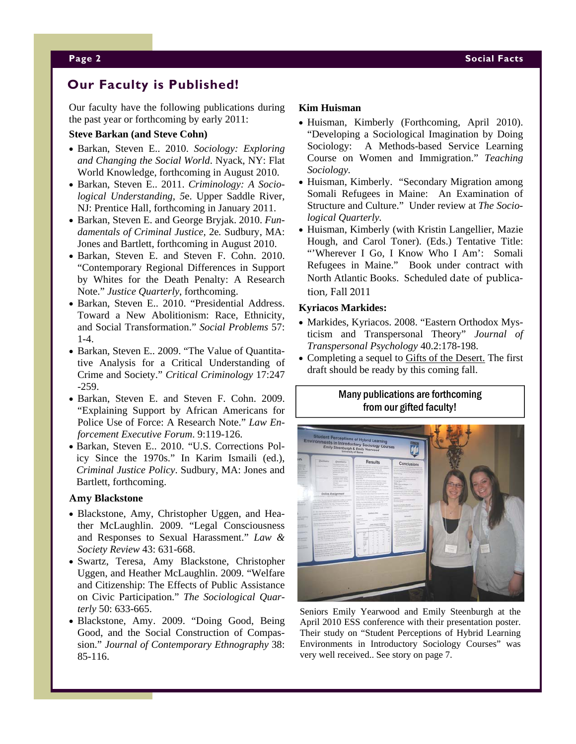# **Our Faculty is Published!**

Our faculty have the following publications during the past year or forthcoming by early 2011:

#### **Steve Barkan (and Steve Cohn)**

- Barkan, Steven E.. 2010. *Sociology: Exploring and Changing the Social World*. Nyack, NY: Flat World Knowledge, forthcoming in August 2010.
- Barkan, Steven E.. 2011. *Criminology: A Sociological Understanding, 5*e. Upper Saddle River, NJ: Prentice Hall, forthcoming in January 2011.
- Barkan, Steven E. and George Bryjak. 2010. *Fundamentals of Criminal Justice,* 2e*.* Sudbury, MA: Jones and Bartlett, forthcoming in August 2010.
- Barkan, Steven E. and Steven F. Cohn. 2010. "Contemporary Regional Differences in Support by Whites for the Death Penalty: A Research Note." *Justice Quarterly*, forthcoming.
- Barkan, Steven E.. 2010. "Presidential Address. Toward a New Abolitionism: Race, Ethnicity, and Social Transformation." *Social Problems* 57: 1-4.
- Barkan, Steven E.. 2009. "The Value of Quantitative Analysis for a Critical Understanding of Crime and Society." *Critical Criminology* 17:247 -259.
- Barkan, Steven E. and Steven F. Cohn. 2009. "Explaining Support by African Americans for Police Use of Force: A Research Note." *Law Enforcement Executive Forum*. 9:119-126.
- Barkan, Steven E.. 2010. "U.S. Corrections Policy Since the 1970s." In Karim Ismaili (ed.), *Criminal Justice Policy*. Sudbury, MA: Jones and Bartlett, forthcoming.

#### **Amy Blackstone**

- Blackstone, Amy, Christopher Uggen, and Heather McLaughlin. 2009. "Legal Consciousness and Responses to Sexual Harassment." *Law & Society Review* 43: 631-668.
- Swartz, Teresa, Amy Blackstone, Christopher Uggen, and Heather McLaughlin. 2009. "Welfare and Citizenship: The Effects of Public Assistance on Civic Participation." *The Sociological Quarterly* 50: 633-665.
- Blackstone, Amy. 2009. "Doing Good, Being Good, and the Social Construction of Compassion." *Journal of Contemporary Ethnography* 38: 85-116.

#### **Kim Huisman**

- Huisman, Kimberly (Forthcoming, April 2010). "Developing a Sociological Imagination by Doing Sociology: A Methods-based Service Learning Course on Women and Immigration." *Teaching Sociology.*
- Huisman, Kimberly. "Secondary Migration among Somali Refugees in Maine: An Examination of Structure and Culture." Under review at *The Sociological Quarterly.*
- Huisman, Kimberly (with Kristin Langellier, Mazie Hough, and Carol Toner). (Eds.) Tentative Title: "'Wherever I Go, I Know Who I Am': Somali Refugees in Maine." Book under contract with North Atlantic Books. Scheduled date of publica‐ tion, Fall 2011

#### **Kyriacos Markides:**

- Markides, Kyriacos. 2008. "Eastern Orthodox Mysticism and Transpersonal Theory" *Journal of Transpersonal Psychology* 40.2:178-198.
- Completing a sequel to Gifts of the Desert. The first draft should be ready by this coming fall.

## Many publications are forthcoming from our gifted faculty!



Seniors Emily Yearwood and Emily Steenburgh at the April 2010 ESS conference with their presentation poster. Their study on "Student Perceptions of Hybrid Learning Environments in Introductory Sociology Courses" was very well received.. See story on page 7.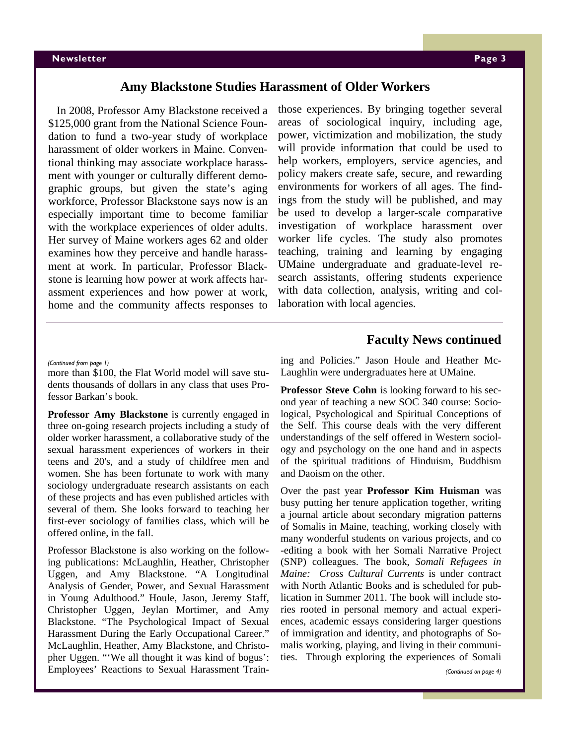#### **Amy Blackstone Studies Harassment of Older Workers**

In 2008, Professor Amy Blackstone received a \$125,000 grant from the National Science Foundation to fund a two-year study of workplace harassment of older workers in Maine. Conventional thinking may associate workplace harassment with younger or culturally different demographic groups, but given the state's aging workforce, Professor Blackstone says now is an especially important time to become familiar with the workplace experiences of older adults. Her survey of Maine workers ages 62 and older examines how they perceive and handle harassment at work. In particular, Professor Blackstone is learning how power at work affects harassment experiences and how power at work, home and the community affects responses to

those experiences. By bringing together several areas of sociological inquiry, including age, power, victimization and mobilization, the study will provide information that could be used to help workers, employers, service agencies, and policy makers create safe, secure, and rewarding environments for workers of all ages. The findings from the study will be published, and may be used to develop a larger-scale comparative investigation of workplace harassment over worker life cycles. The study also promotes teaching, training and learning by engaging UMaine undergraduate and graduate-level research assistants, offering students experience with data collection, analysis, writing and collaboration with local agencies.

#### **Faculty News continued**

more than \$100, the Flat World model will save students thousands of dollars in any class that uses Professor Barkan's book.

**Professor Amy Blackstone** is currently engaged in three on-going research projects including a study of older worker harassment, a collaborative study of the sexual harassment experiences of workers in their teens and 20's, and a study of childfree men and women. She has been fortunate to work with many sociology undergraduate research assistants on each of these projects and has even published articles with several of them. She looks forward to teaching her first-ever sociology of families class, which will be offered online, in the fall.

Professor Blackstone is also working on the following publications: McLaughlin, Heather, Christopher Uggen, and Amy Blackstone. "A Longitudinal Analysis of Gender, Power, and Sexual Harassment in Young Adulthood." Houle, Jason, Jeremy Staff, Christopher Uggen, Jeylan Mortimer, and Amy Blackstone. "The Psychological Impact of Sexual Harassment During the Early Occupational Career." McLaughlin, Heather, Amy Blackstone, and Christopher Uggen. "'We all thought it was kind of bogus': Employees' Reactions to Sexual Harassment Train-

*(Continued from page 1)* ing and Policies." Jason Houle and Heather Mc-Laughlin were undergraduates here at UMaine.

> **Professor Steve Cohn** is looking forward to his second year of teaching a new SOC 340 course: Sociological, Psychological and Spiritual Conceptions of the Self. This course deals with the very different understandings of the self offered in Western sociology and psychology on the one hand and in aspects of the spiritual traditions of Hinduism, Buddhism and Daoism on the other.

> Over the past year **Professor Kim Huisman** was busy putting her tenure application together, writing a journal article about secondary migration patterns of Somalis in Maine, teaching, working closely with many wonderful students on various projects, and co -editing a book with her Somali Narrative Project (SNP) colleagues. The book, *Somali Refugees in Maine: Cross Cultural Currents* is under contract with North Atlantic Books and is scheduled for publication in Summer 2011. The book will include stories rooted in personal memory and actual experiences, academic essays considering larger questions of immigration and identity, and photographs of Somalis working, playing, and living in their communities. Through exploring the experiences of Somali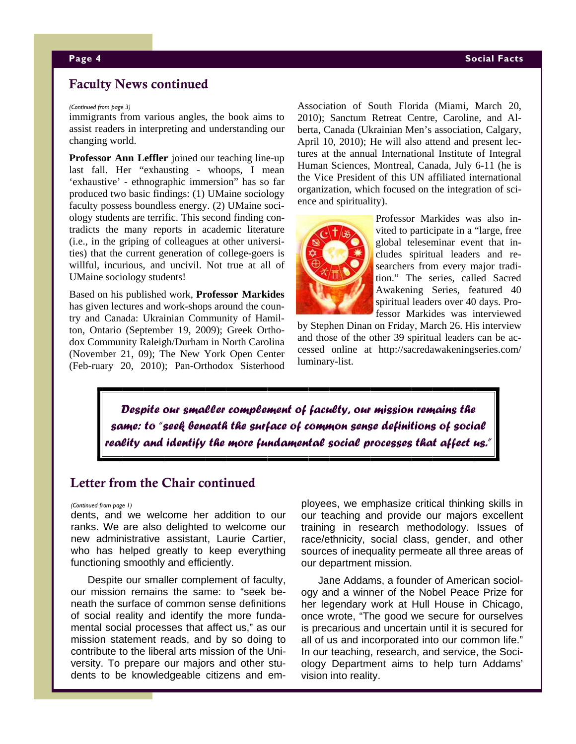### Faculty News continued

#### *(Continued from page 3)*

immigrants from various angles, the book aims to assist readers in interpreting and understanding our changing world.

**Professor Ann Leffler** joined our teaching line-up last fall. Her "exhausting - whoops, I mean 'exhaustive' - ethnographic immersion" has so far produced two basic findings: (1) UMaine sociology faculty possess boundless energy. (2) UMaine sociology students are terrific. This second finding contradicts the many reports in academic literature (i.e., in the griping of colleagues at other universities) that the current generation of college-goers is willful, incurious, and uncivil. Not true at all of UMaine sociology students!

Based on his published work, **Professor Markides**  has given lectures and work-shops around the country and Canada: Ukrainian Community of Hamilton, Ontario (September 19, 2009); Greek Orthodox Community Raleigh/Durham in North Carolina (November 21, 09); The New York Open Center (Feb-ruary 20, 2010); Pan-Orthodox Sisterhood Association of South Florida (Miami, March 20, 2010); Sanctum Retreat Centre, Caroline, and Alberta, Canada (Ukrainian Men's association, Calgary, April 10, 2010); He will also attend and present lectures at the annual International Institute of Integral Human Sciences, Montreal, Canada, July 6-11 (he is the Vice President of this UN affiliated international organization, which focused on the integration of science and spirituality).



Professor Markides was also invited to participate in a "large, free global teleseminar event that includes spiritual leaders and researchers from every major tradition." The series, called Sacred Awakening Series, featured 40 spiritual leaders over 40 days. Professor Markides was interviewed

by Stephen Dinan on Friday, March 26. His interview and those of the other 39 spiritual leaders can be accessed online at http://sacredawakeningseries.com/ luminary-list.

*Despite our smaller complement of faculty, our mission remains the same: to "seek beneath the surface of common sense definitions of social reality and identify the more fundamental social processes that affect us."* 

# Letter from the Chair continued

#### *(Continued from page 1)*

dents, and we welcome her addition to our ranks. We are also delighted to welcome our new administrative assistant, Laurie Cartier, who has helped greatly to keep everything functioning smoothly and efficiently.

Despite our smaller complement of faculty, our mission remains the same: to "seek beneath the surface of common sense definitions of social reality and identify the more fundamental social processes that affect us," as our mission statement reads, and by so doing to contribute to the liberal arts mission of the University. To prepare our majors and other students to be knowledgeable citizens and employees, we emphasize critical thinking skills in our teaching and provide our majors excellent training in research methodology. Issues of race/ethnicity, social class, gender, and other sources of inequality permeate all three areas of our department mission.

Jane Addams, a founder of American sociology and a winner of the Nobel Peace Prize for her legendary work at Hull House in Chicago, once wrote, "The good we secure for ourselves is precarious and uncertain until it is secured for all of us and incorporated into our common life." In our teaching, research, and service, the Sociology Department aims to help turn Addams' vision into reality.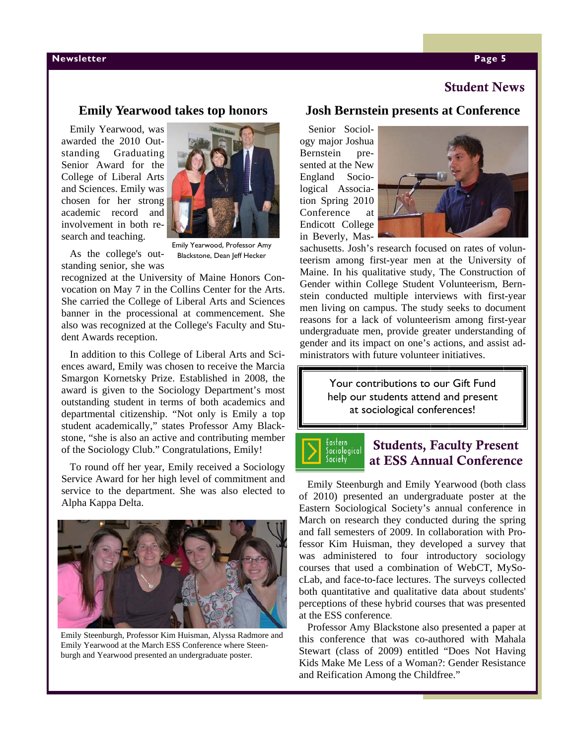#### **Newsletter Page 5**  $\blacksquare$

# Student News

# **Emily Yearwood takes top honors**

Emily Yearwood, was awarded the 2010 Outstanding Graduating Senior Award for the College of Liberal Arts and Sciences. Emily was chosen for her strong academic record and involvement in both research and teaching.



As the college's outstanding senior, she was

Emily Yearwood, Professor Amy Blackstone, Dean Jeff Hecker

recognized at the University of Maine Honors Convocation on May 7 in the Collins Center for the Arts. She carried the College of Liberal Arts and Sciences banner in the processional at commencement. She also was recognized at the College's Faculty and Student Awards reception.

In addition to this College of Liberal Arts and Sciences award, Emily was chosen to receive the Marcia Smargon Kornetsky Prize. Established in 2008, the award is given to the Sociology Department's most outstanding student in terms of both academics and departmental citizenship. "Not only is Emily a top student academically," states Professor Amy Blackstone, "she is also an active and contributing member of the Sociology Club." Congratulations, Emily!

To round off her year, Emily received a Sociology Service Award for her high level of commitment and service to the department. She was also elected to Alpha Kappa Delta.



Emily Steenburgh, Professor Kim Huisman, Alyssa Radmore and Emily Yearwood at the March ESS Conference where Steenburgh and Yearwood presented an undergraduate poster.

# **Josh Bernstein presents at Conference**

Senior Sociology major Joshua Bernstein presented at the New England Sociological Association Spring 2010 Conference at Endicott College in Beverly, Mas-



sachusetts. Josh's research focused on rates of volunteerism among first-year men at the University of Maine. In his qualitative study, The Construction of Gender within College Student Volunteerism, Bernstein conducted multiple interviews with first-year men living on campus. The study seeks to document reasons for a lack of volunteerism among first-year undergraduate men, provide greater understanding of gender and its impact on one's actions, and assist administrators with future volunteer initiatives.

> Your contributions to our Gift Fund help our students attend and present at sociological conferences!

Eastern Lustern<br>Sociological<br>Society

# Students, Faculty Present at ESS Annual Conference

Emily Steenburgh and Emily Yearwood (both class of 2010) presented an undergraduate poster at the Eastern Sociological Society's annual conference in March on research they conducted during the spring and fall semesters of 2009. In collaboration with Professor Kim Huisman, they developed a survey that was administered to four introductory sociology courses that used a combination of WebCT, MySocLab, and face-to-face lectures. The surveys collected both quantitative and qualitative data about students' perceptions of these hybrid courses that was presented at the ESS conference.

Professor Amy Blackstone also presented a paper at this conference that was co-authored with Mahala Stewart (class of 2009) entitled "Does Not Having Kids Make Me Less of a Woman?: Gender Resistance and Reification Among the Childfree."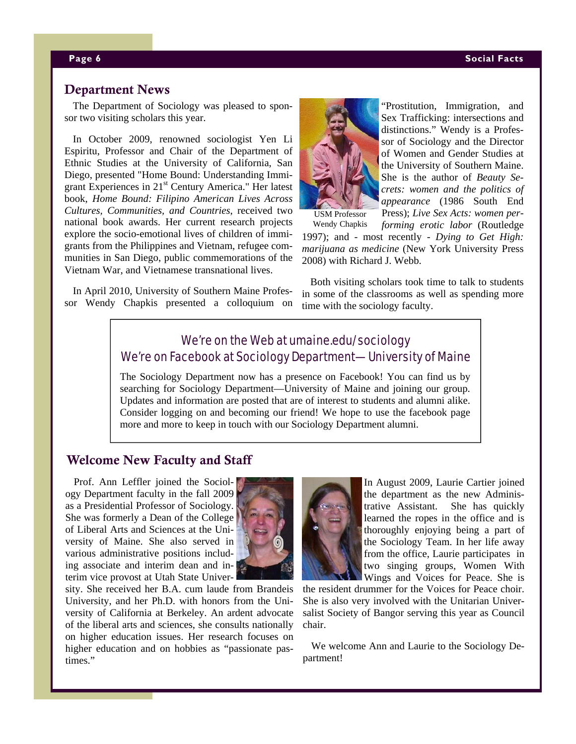# Department News

The Department of Sociology was pleased to sponsor two visiting scholars this year.

In October 2009, renowned sociologist Yen Li Espiritu, Professor and Chair of the Department of Ethnic Studies at the University of California, San Diego, presented "Home Bound: Understanding Immigrant Experiences in 21<sup>st</sup> Century America." Her latest book, *Home Bound: Filipino American Lives Across Cultures, Communities, and Countries*, received two national book awards. Her current research projects explore the socio-emotional lives of children of immigrants from the Philippines and Vietnam, refugee communities in San Diego, public commemorations of the Vietnam War, and Vietnamese transnational lives.

In April 2010, University of Southern Maine Professor Wendy Chapkis presented a colloquium on



"Prostitution, Immigration, and Sex Trafficking: intersections and distinctions." Wendy is a Professor of Sociology and the Director of Women and Gender Studies at the University of Southern Maine. She is the author of *Beauty Secrets: women and the politics of appearance* (1986 South End Press); *Live Sex Acts: women per-*

*forming erotic labor* (Routledge 1997); and - most recently - *Dying to Get High: marijuana as medicine* (New York University Press 2008) with Richard J. Webb. Wendy Chapkis

Both visiting scholars took time to talk to students in some of the classrooms as well as spending more time with the sociology faculty.

# We're on the Web at umaine.edu/sociology We're on Facebook at Sociology Department—University of Maine

The Sociology Department now has a presence on Facebook! You can find us by searching for Sociology Department—University of Maine and joining our group. Updates and information are posted that are of interest to students and alumni alike. Consider logging on and becoming our friend! We hope to use the facebook page more and more to keep in touch with our Sociology Department alumni.

# Welcome New Faculty and Staff

Prof. Ann Leffler joined the Sociology Department faculty in the fall 2009 as a Presidential Professor of Sociology. She was formerly a Dean of the College of Liberal Arts and Sciences at the University of Maine. She also served in various administrative positions including associate and interim dean and interim vice provost at Utah State Univer-



sity. She received her B.A. cum laude from Brandeis University, and her Ph.D. with honors from the University of California at Berkeley. An ardent advocate of the liberal arts and sciences, she consults nationally on higher education issues. Her research focuses on higher education and on hobbies as "passionate pastimes"



In August 2009, Laurie Cartier joined the department as the new Administrative Assistant. She has quickly learned the ropes in the office and is thoroughly enjoying being a part of the Sociology Team. In her life away from the office, Laurie participates in two singing groups, Women With Wings and Voices for Peace. She is

the resident drummer for the Voices for Peace choir. She is also very involved with the Unitarian Universalist Society of Bangor serving this year as Council chair.

We welcome Ann and Laurie to the Sociology Department!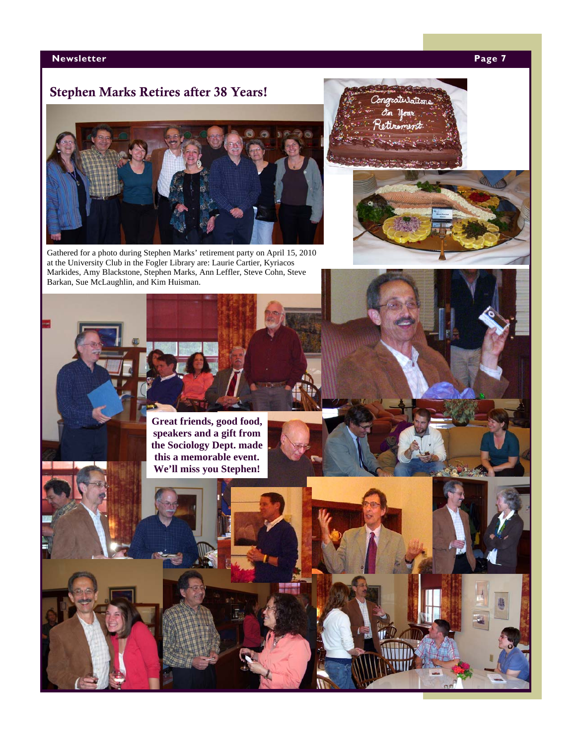# **Newsletter Page 7 Page 7**

# Stephen Marks Retires after 38 Years!



Gathered for a photo during Stephen Marks' retirement party on April 15, 2010 at the University Club in the Fogler Library are: Laurie Cartier, Kyriacos Markides, Amy Blackstone, Stephen Marks, Ann Leffler, Steve Cohn, Steve Barkan, Sue McLaughlin, and Kim Huisman.





**Great friends, good food, speakers and a gift from the Sociology Dept. made this a memorable event. We'll miss you Stephen!**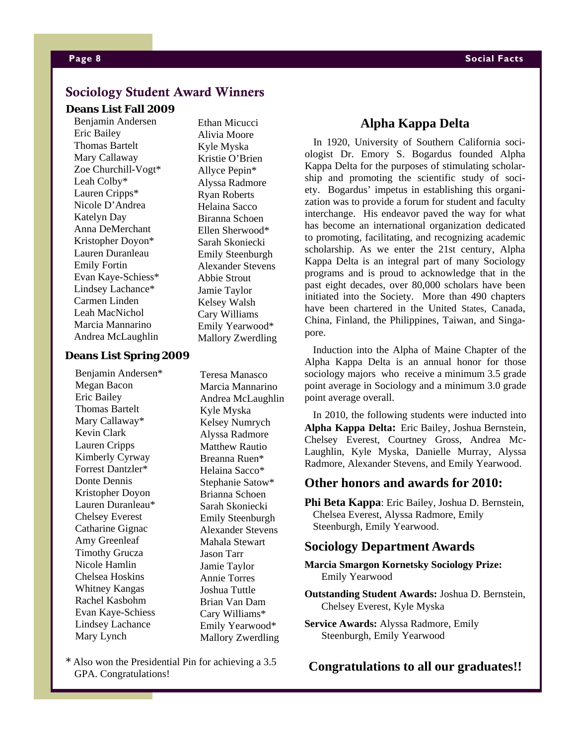# Sociology Student Award Winners

#### **Deans List Fall 2009**

Benjamin Andersen Eric Bailey Thomas Bartelt Mary Callaway Zoe Churchill-Vogt\* Leah Colby\* Lauren Cripps\* Nicole D'Andrea Katelyn Day Anna DeMerchant Kristopher Doyon\* Lauren Duranleau Emily Fortin Evan Kaye-Schiess\* Lindsey Lachance\* Carmen Linden Leah MacNichol Marcia Mannarino Andrea McLaughlin

Alivia Moore Kyle Myska Kristie O'Brien Allyce Pepin\* Alyssa Radmore Ryan Roberts Helaina Sacco Biranna Schoen Ellen Sherwood\* Sarah Skoniecki Emily Steenburgh Alexander Stevens Abbie Strout Jamie Taylor Kelsey Walsh Cary Williams Emily Yearwood\* Mallory Zwerdling

Ethan Micucci

Benjamin Andersen\* Megan Bacon Eric Bailey Thomas Bartelt Mary Callaway\* Kevin Clark Lauren Cripps Kimberly Cyrway Forrest Dantzler\* Donte Dennis Kristopher Doyon Lauren Duranleau\* Chelsey Everest Catharine Gignac Amy Greenleaf Timothy Grucza Nicole Hamlin Chelsea Hoskins Whitney Kangas Rachel Kasbohm Evan Kaye-Schiess Lindsey Lachance Mary Lynch

Teresa Manasco Marcia Mannarino Andrea McLaughlin Kyle Myska Kelsey Numrych Alyssa Radmore Matthew Rautio Breanna Ruen\* Helaina Sacco\* Stephanie Satow\* Brianna Schoen Sarah Skoniecki Emily Steenburgh Alexander Stevens Mahala Stewart Jason Tarr Jamie Taylor Annie Torres Joshua Tuttle Brian Van Dam Cary Williams\* Emily Yearwood\* Mallory Zwerdling

\* Also won the Presidential Pin for achieving a 3.5 GPA. Congratulations!

### **Alpha Kappa Delta**

In 1920, University of Southern California sociologist Dr. Emory S. Bogardus founded Alpha Kappa Delta for the purposes of stimulating scholarship and promoting the scientific study of society. Bogardus' impetus in establishing this organization was to provide a forum for student and faculty interchange. His endeavor paved the way for what has become an international organization dedicated to promoting, facilitating, and recognizing academic scholarship. As we enter the 21st century, Alpha Kappa Delta is an integral part of many Sociology programs and is proud to acknowledge that in the past eight decades, over 80,000 scholars have been initiated into the Society. More than 490 chapters have been chartered in the United States, Canada, China, Finland, the Philippines, Taiwan, and Singapore.

**Deans List Spring 2009 Induction into the Alpha of Maine Chapter of the** Alpha Kappa Delta is an annual honor for those sociology majors who receive a minimum 3.5 grade point average in Sociology and a minimum 3.0 grade point average overall.

> In 2010, the following students were inducted into **Alpha Kappa Delta:** Eric Bailey, Joshua Bernstein, Chelsey Everest, Courtney Gross, Andrea Mc-Laughlin, Kyle Myska, Danielle Murray, Alyssa Radmore, Alexander Stevens, and Emily Yearwood.

# **Other honors and awards for 2010:**

**Phi Beta Kappa**: Eric Bailey, Joshua D. Bernstein, Chelsea Everest, Alyssa Radmore, Emily Steenburgh, Emily Yearwood.

#### **Sociology Department Awards**

- **Marcia Smargon Kornetsky Sociology Prize:**  Emily Yearwood
- **Outstanding Student Awards:** Joshua D. Bernstein, Chelsey Everest, Kyle Myska
- **Service Awards:** Alyssa Radmore, Emily Steenburgh, Emily Yearwood

## **Congratulations to all our graduates!!**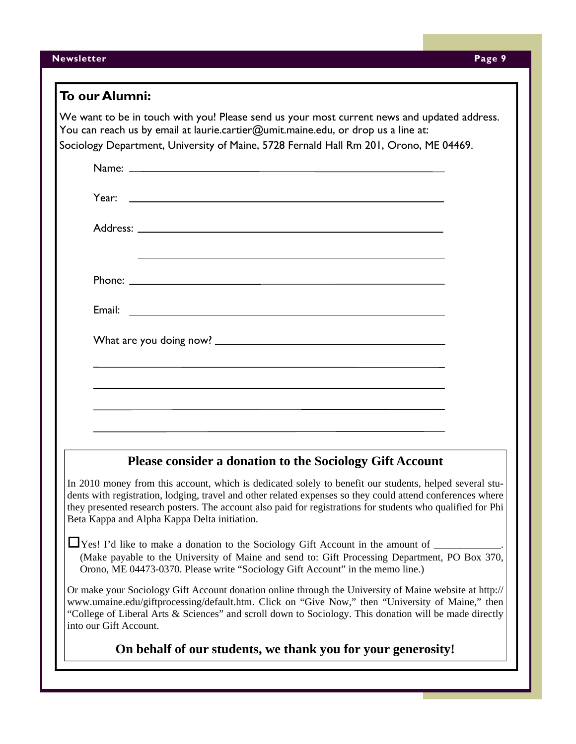| <b>Newsletter</b> | Page 9 |  |
|-------------------|--------|--|
|-------------------|--------|--|

| To our Alumni:                                                                                                                                                                                                                                                                                                                                                                       |
|--------------------------------------------------------------------------------------------------------------------------------------------------------------------------------------------------------------------------------------------------------------------------------------------------------------------------------------------------------------------------------------|
| We want to be in touch with you! Please send us your most current news and updated address.<br>You can reach us by email at laurie.cartier@umit.maine.edu, or drop us a line at:<br>Sociology Department, University of Maine, 5728 Fernald Hall Rm 201, Orono, ME 04469.                                                                                                            |
|                                                                                                                                                                                                                                                                                                                                                                                      |
| Year: New York and the state of the state of the state of the state of the state of the state of the state of the state of the state of the state of the state of the state of the state of the state of the state of the stat                                                                                                                                                       |
|                                                                                                                                                                                                                                                                                                                                                                                      |
| <u> 1989 - Johann Stoff, deutscher Stoff, der Stoff, der Stoff, der Stoff, der Stoff, der Stoff, der Stoff, der S</u>                                                                                                                                                                                                                                                                |
|                                                                                                                                                                                                                                                                                                                                                                                      |
|                                                                                                                                                                                                                                                                                                                                                                                      |
|                                                                                                                                                                                                                                                                                                                                                                                      |
|                                                                                                                                                                                                                                                                                                                                                                                      |
|                                                                                                                                                                                                                                                                                                                                                                                      |
|                                                                                                                                                                                                                                                                                                                                                                                      |
| Please consider a donation to the Sociology Gift Account                                                                                                                                                                                                                                                                                                                             |
| In 2010 money from this account, which is dedicated solely to benefit our students, helped several stu-<br>dents with registration, lodging, travel and other related expenses so they could attend conferences where<br>they presented research posters. The account also paid for registrations for students who qualified for Phi<br>Beta Kappa and Alpha Kappa Delta initiation. |
| $\Box$ Yes! I'd like to make a donation to the Sociology Gift Account in the amount of $\Box$<br>(Make payable to the University of Maine and send to: Gift Processing Department, PO Box 370,<br>Orono, ME 04473-0370. Please write "Sociology Gift Account" in the memo line.)                                                                                                     |
| Or make your Sociology Gift Account donation online through the University of Maine website at http://<br>www.umaine.edu/giftprocessing/default.htm. Click on "Give Now," then "University of Maine," then<br>"College of Liberal Arts & Sciences" and scroll down to Sociology. This donation will be made directly<br>into our Gift Account.                                       |
| On behalf of our students, we thank you for your generosity!                                                                                                                                                                                                                                                                                                                         |
|                                                                                                                                                                                                                                                                                                                                                                                      |